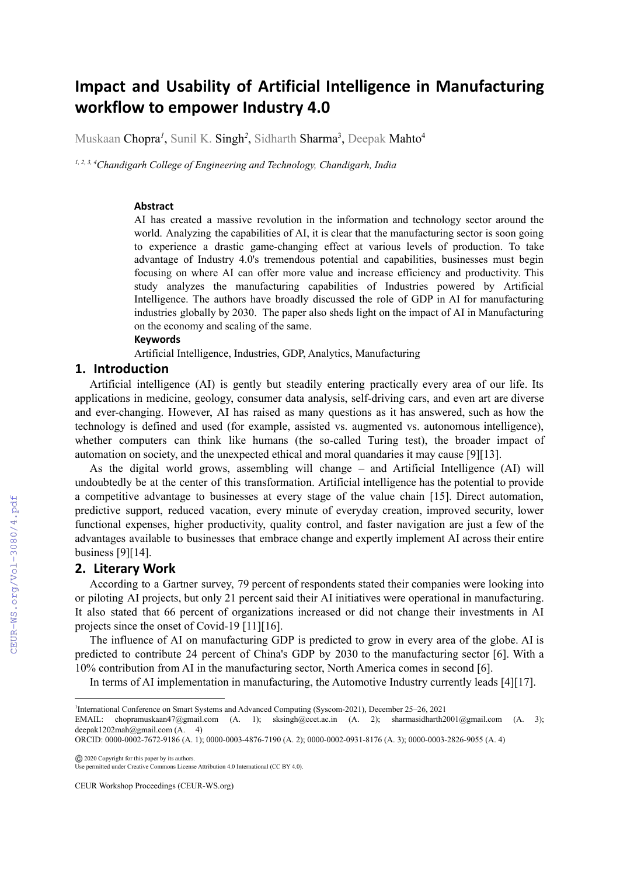# **Impact and Usability of Artificial Intelligence in Manufacturing workflow to empower Industry 4.0**

Muskaan Chopra<sup>1</sup>, Sunil K. Singh<sup>2</sup>, Sidharth Sharma<sup>3</sup>, Deepak Mahto<sup>4</sup>

*1, 2, 3, 4Chandigarh College of Engineering and Technology, Chandigarh, India*

#### **Abstract**

AI has created a massive revolution in the information and technology sector around the world. Analyzing the capabilities of AI, it is clear that the manufacturing sector is soon going to experience a drastic game-changing effect at various levels of production. To take advantage of Industry 4.0's tremendous potential and capabilities, businesses must begin focusing on where AI can offer more value and increase efficiency and productivity. This study analyzes the manufacturing capabilities of Industries powered by Artificial Intelligence. The authors have broadly discussed the role of GDP in AI for manufacturing industries globally by 2030. The paper also sheds light on the impact of AI in Manufacturing on the economy and scaling of the same.

#### **Keywords**

Artificial Intelligence, Industries, GDP, Analytics, Manufacturing

### **1. Introduction**

Artificial intelligence (AI) is gently but steadily entering practically every area of our life. Its applications in medicine, geology, consumer data analysis, self-driving cars, and even art are diverse and ever-changing. However, AI has raised as many questions as it has answered, such as how the technology is defined and used (for example, assisted vs. augmented vs. autonomous intelligence), whether computers can think like humans (the so-called Turing test), the broader impact of automation on society, and the unexpected ethical and moral quandaries it may cause [9][13].

As the digital world grows, assembling will change – and Artificial Intelligence (AI) will undoubtedly be at the center of this transformation. Artificial intelligence has the potential to provide a competitive advantage to businesses at every stage of the value chain [15]. Direct automation, predictive support, reduced vacation, every minute of everyday creation, improved security, lower functional expenses, higher productivity, quality control, and faster navigation are just a few of the advantages available to businesses that embrace change and expertly implement AI across their entire business [9][14].

#### **2. Literary Work**

According to a Gartner survey, 79 percent of respondents stated their companies were looking into or piloting AI projects, but only 21 percent said their AI initiatives were operational in manufacturing. It also stated that 66 percent of organizations increased or did not change their investments in AI projects since the onset of Covid-19 [11][16].

The influence of AI on manufacturing GDP is predicted to grow in every area of the globe. AI is predicted to contribute 24 percent of China's GDP by 2030 to the manufacturing sector [6]. With a 10% contribution from AI in the manufacturing sector, North America comes in second [6].

In terms of AI implementation in manufacturing, the Automotive Industry currently leads [4][17].

©️ 2020 Copyright for this paper by its authors.

<sup>1</sup> International Conference on Smart Systems and Advanced Computing (Syscom-2021), December 25–26, 2021

EMAIL: chopramuskaan47@gmail.com (A. 1); sksingh@ccet.ac.in (A. 2); sharmasidharth2001@gmail.com (A. 3); deepak1202mah@gmail.com (A. 4)

ORCID: 0000-0002-7672-9186 (A. 1); 0000-0003-4876-7190 (A. 2); 0000-0002-0931-8176 (A. 3); 0000-0003-2826-9055 (A. 4)

Use permitted under Creative Commons License Attribution 4.0 International (CC BY 4.0).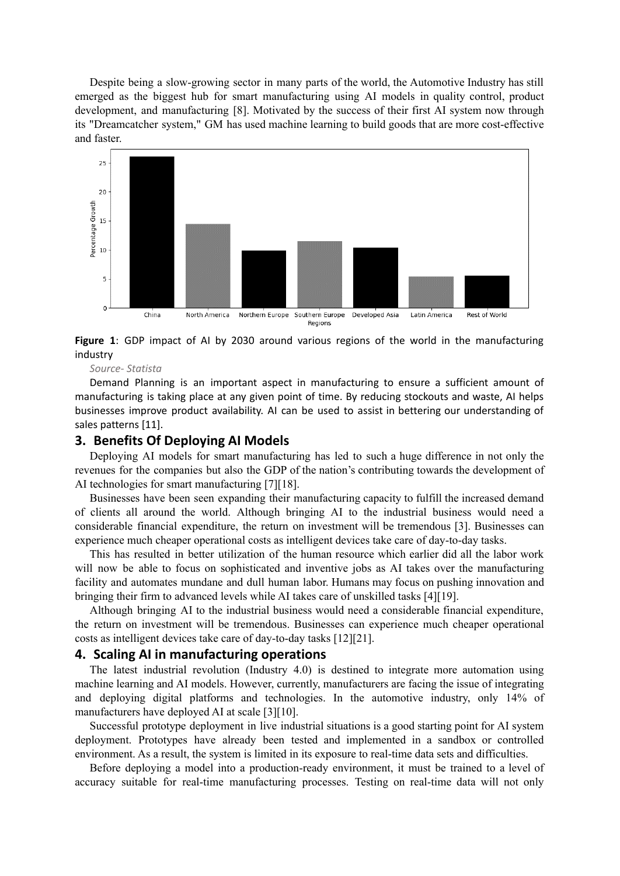Despite being a slow-growing sector in many parts of the world, the Automotive Industry has still emerged as the biggest hub for smart manufacturing using AI models in quality control, product development, and manufacturing [8]. Motivated by the success of their first AI system now through its "Dreamcatcher system," GM has used machine learning to build goods that are more cost-effective and faster.



**Figure 1**: GDP impact of AI by 2030 around various regions of the world in the manufacturing industry

*Source- Statista*

Demand Planning is an important aspect in manufacturing to ensure a sufficient amount of manufacturing is taking place at any given point of time. By reducing stockouts and waste, AI helps businesses improve product availability. AI can be used to assist in bettering our understanding of sales patterns [11].

#### **3. Benefits Of Deploying AI Models**

Deploying AI models for smart manufacturing has led to such a huge difference in not only the revenues for the companies but also the GDP of the nation's contributing towards the development of AI technologies for smart manufacturing [7][18].

Businesses have been seen expanding their manufacturing capacity to fulfill the increased demand of clients all around the world. Although bringing AI to the industrial business would need a considerable financial expenditure, the return on investment will be tremendous [3]. Businesses can experience much cheaper operational costs as intelligent devices take care of day-to-day tasks.

This has resulted in better utilization of the human resource which earlier did all the labor work will now be able to focus on sophisticated and inventive jobs as AI takes over the manufacturing facility and automates mundane and dull human labor. Humans may focus on pushing innovation and bringing their firm to advanced levels while AI takes care of unskilled tasks [4][19].

Although bringing AI to the industrial business would need a considerable financial expenditure, the return on investment will be tremendous. Businesses can experience much cheaper operational costs as intelligent devices take care of day-to-day tasks [12][21].

#### **4. Scaling AI in manufacturing operations**

The latest industrial revolution (Industry 4.0) is destined to integrate more automation using machine learning and AI models. However, currently, manufacturers are facing the issue of integrating and deploying digital platforms and technologies. In the automotive industry, only 14% of manufacturers have deployed AI at scale [3][10].

Successful prototype deployment in live industrial situations is a good starting point for AI system deployment. Prototypes have already been tested and implemented in a sandbox or controlled environment. As a result, the system is limited in its exposure to real-time data sets and difficulties.

Before deploying a model into a production-ready environment, it must be trained to a level of accuracy suitable for real-time manufacturing processes. Testing on real-time data will not only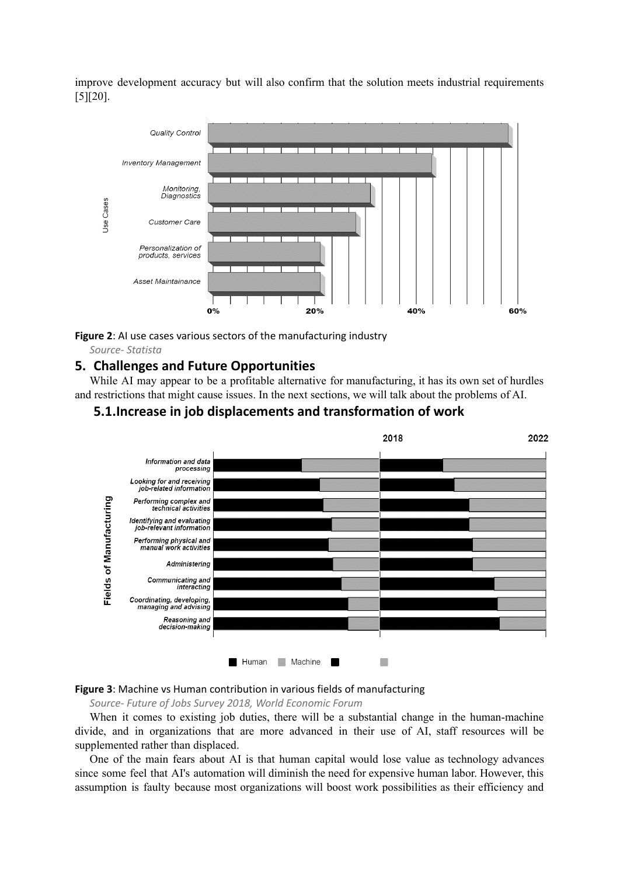improve development accuracy but will also confirm that the solution meets industrial requirements [5][20].



**Figure 2**: AI use cases various sectors of the manufacturing industry

*Source- Statista*

## **5. Challenges and Future Opportunities**

While AI may appear to be a profitable alternative for manufacturing, it has its own set of hurdles and restrictions that might cause issues. In the next sections, we will talk about the problems of AI.





#### **Figure 3**: Machine vs Human contribution in various fields of manufacturing

*Source- Future of Jobs Survey 2018, World Economic Forum*

When it comes to existing job duties, there will be a substantial change in the human-machine divide, and in organizations that are more advanced in their use of AI, staff resources will be supplemented rather than displaced.

One of the main fears about AI is that human capital would lose value as technology advances since some feel that AI's automation will diminish the need for expensive human labor. However, this assumption is faulty because most organizations will boost work possibilities as their efficiency and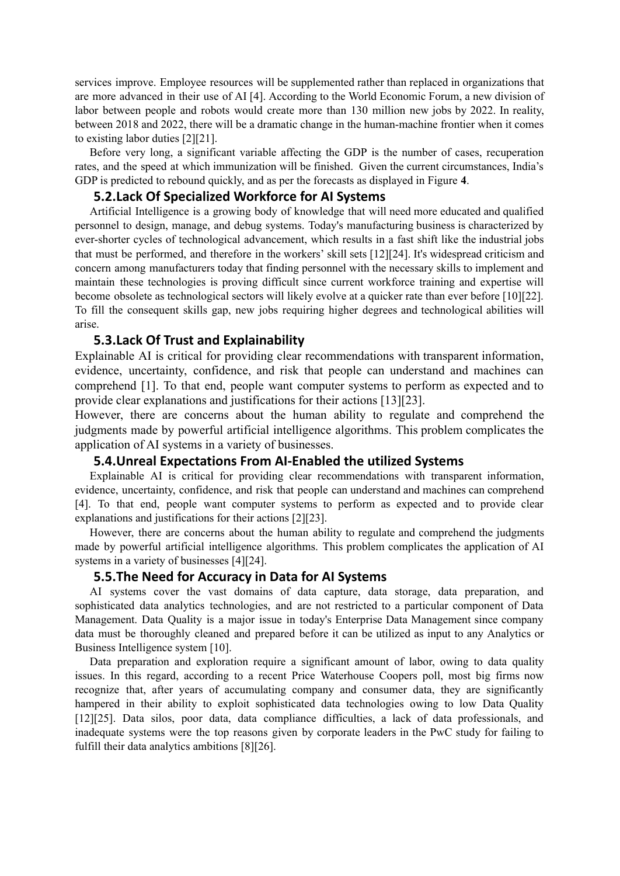services improve. Employee resources will be supplemented rather than replaced in organizations that are more advanced in their use of AI [4]. According to the World Economic Forum, a new division of labor between people and robots would create more than 130 million new jobs by 2022. In reality, between 2018 and 2022, there will be a dramatic change in the human-machine frontier when it comes to existing labor duties [2][21].

Before very long, a significant variable affecting the GDP is the number of cases, recuperation rates, and the speed at which immunization will be finished. Given the current circumstances, India's GDP is predicted to rebound quickly, and as per the forecasts as displayed in Figure **4**.

#### **5.2.Lack Of Specialized Workforce for AI Systems**

Artificial Intelligence is a growing body of knowledge that will need more educated and qualified personnel to design, manage, and debug systems. Today's manufacturing business is characterized by ever-shorter cycles of technological advancement, which results in a fast shift like the industrial jobs that must be performed, and therefore in the workers' skill sets [12][24]. It's widespread criticism and concern among manufacturers today that finding personnel with the necessary skills to implement and maintain these technologies is proving difficult since current workforce training and expertise will become obsolete as technological sectors will likely evolve at a quicker rate than ever before [10][22]. To fill the consequent skills gap, new jobs requiring higher degrees and technological abilities will arise.

## **5.3.Lack Of Trust and Explainability**

Explainable AI is critical for providing clear recommendations with transparent information, evidence, uncertainty, confidence, and risk that people can understand and machines can comprehend [1]. To that end, people want computer systems to perform as expected and to provide clear explanations and justifications for their actions [13][23].

However, there are concerns about the human ability to regulate and comprehend the judgments made by powerful artificial intelligence algorithms. This problem complicates the application of AI systems in a variety of businesses.

## **5.4.Unreal Expectations From AI-Enabled the utilized Systems**

Explainable AI is critical for providing clear recommendations with transparent information, evidence, uncertainty, confidence, and risk that people can understand and machines can comprehend [4]. To that end, people want computer systems to perform as expected and to provide clear explanations and justifications for their actions [2][23].

However, there are concerns about the human ability to regulate and comprehend the judgments made by powerful artificial intelligence algorithms. This problem complicates the application of AI systems in a variety of businesses [4][24].

#### **5.5.The Need for Accuracy in Data for AI Systems**

AI systems cover the vast domains of data capture, data storage, data preparation, and sophisticated data analytics technologies, and are not restricted to a particular component of Data Management. Data Quality is a major issue in today's Enterprise Data Management since company data must be thoroughly cleaned and prepared before it can be utilized as input to any Analytics or Business Intelligence system [10].

Data preparation and exploration require a significant amount of labor, owing to data quality issues. In this regard, according to a recent Price Waterhouse Coopers poll, most big firms now recognize that, after years of accumulating company and consumer data, they are significantly hampered in their ability to exploit sophisticated data technologies owing to low Data Quality [12][25]. Data silos, poor data, data compliance difficulties, a lack of data professionals, and inadequate systems were the top reasons given by corporate leaders in the PwC study for failing to fulfill their data analytics ambitions [8][26].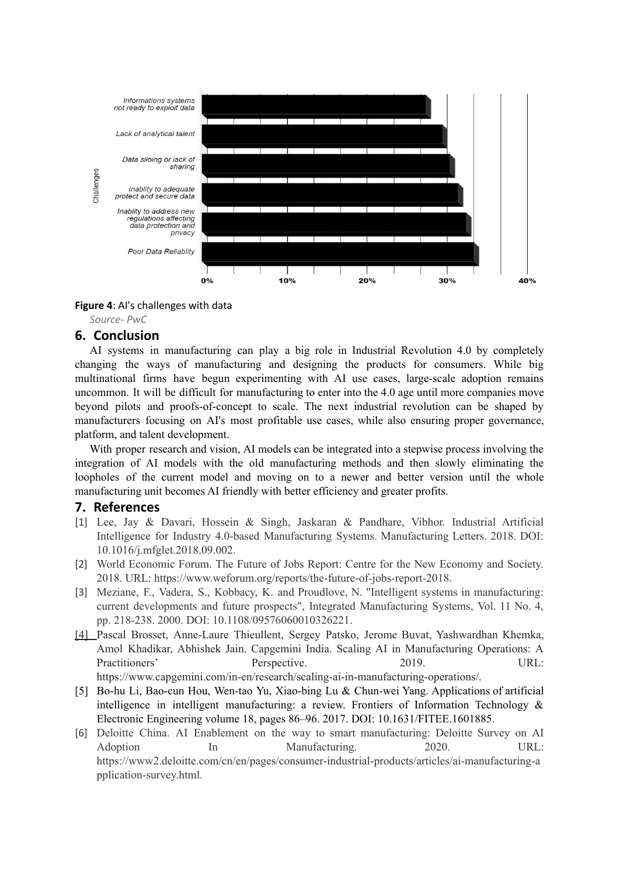

#### **Figure 4**: AI's challenges with data

*Source- PwC*

## **6. Conclusion**

AI systems in manufacturing can play a big role in Industrial Revolution 4.0 by completely changing the ways of manufacturing and designing the products for consumers. While big multinational firms have begun experimenting with AI use cases, large-scale adoption remains uncommon. It will be difficult for manufacturing to enter into the 4.0 age until more companies move beyond pilots and proofs-of-concept to scale. The next industrial revolution can be shaped by manufacturers focusing on AI's most profitable use cases, while also ensuring proper governance, platform, and talent development.

With proper research and vision, AI models can be integrated into a stepwise process involving the integration of AI models with the old manufacturing methods and then slowly eliminating the loopholes of the current model and moving on to a newer and better version until the whole manufacturing unit becomes AI friendly with better efficiency and greater profits.

## **7. References**

- [1] Lee, Jay & Davari, Hossein & Singh, Jaskaran & Pandhare, Vibhor. Industrial Artificial Intelligence for Industry 4.0-based Manufacturing Systems. Manufacturing Letters. 2018. DOI: 10.1016/j.mfglet.2018.09.002.
- [2] World Economic Forum. The Future of Jobs Report: Centre for the New Economy and Society. 2018. URL: https://www.weforum.org/reports/the-future-of-jobs-report-2018.
- [3] Meziane, F., Vadera, S., Kobbacy, K. and Proudlove, N. "Intelligent systems in manufacturing: current developments and future prospects", Integrated Manufacturing Systems, Vol. 11 No. 4, pp. 218-238. 2000. DOI: 10.1108/09576060010326221.
- [4] Pascal Brosset, Anne-Laure Thieullent, Sergey Patsko, Jerome Buvat, Yashwardhan Khemka, Amol Khadikar, Abhishek Jain. Capgemini India. Scaling AI in Manufacturing Operations: A Practitioners' Perspective. 2019. URL: https://www.capgemini.com/in-en/research/scaling-ai-in-manufacturing-operations/.
- [5] Bo-hu Li, Bao-cun Hou, Wen-tao Yu, Xiao-bing Lu & Chun-wei Yang. Applications of artificial intelligence in intelligent manufacturing: a review. Frontiers of Information Technology & Electronic Engineering volume 18, pages 86–96. 2017. DOI: 10.1631/FITEE.1601885.
- [6] Deloitte China. AI Enablement on the way to smart manufacturing: Deloitte Survey on AI Adoption In Manufacturing. 2020. URL: https://www2.deloitte.com/cn/en/pages/consumer-industrial-products/articles/ai-manufacturing-a pplication-survey.html.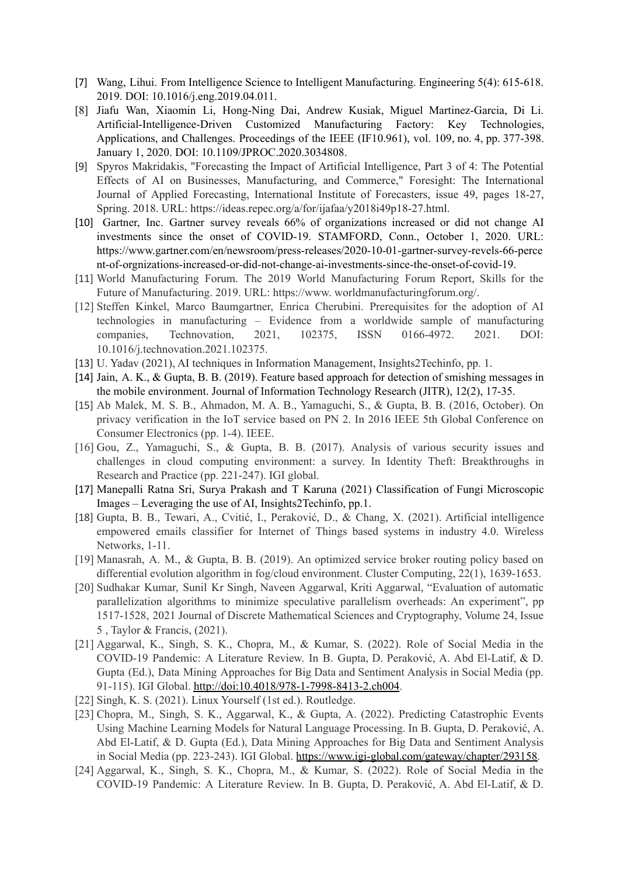- [7] Wang, Lihui. From Intelligence Science to Intelligent Manufacturing. Engineering 5(4): 615-618. 2019. DOI: 10.1016/j.eng.2019.04.011.
- [8] Jiafu Wan, Xiaomin Li, Hong-Ning Dai, Andrew Kusiak, Miguel Martinez-Garcia, Di Li. Artificial-Intelligence-Driven Customized Manufacturing Factory: Key Technologies, Applications, and Challenges. Proceedings of the IEEE (IF10.961), vol. 109, no. 4, pp. 377-398. January 1, 2020. DOI: 10.1109/JPROC.2020.3034808.
- [9] Spyros Makridakis, "Forecasting the Impact of Artificial Intelligence, Part 3 of 4: The Potential Effects of AI on Businesses, Manufacturing, and Commerce," Foresight: The International Journal of Applied Forecasting, International Institute of Forecasters, issue 49, pages 18-27, Spring. 2018. URL: https://ideas.repec.org/a/for/ijafaa/y2018i49p18-27.html.
- [10] Gartner, Inc. Gartner survey reveals 66% of organizations increased or did not change AI investments since the onset of COVID-19. STAMFORD, Conn., October 1, 2020. URL: https://www.gartner.com/en/newsroom/press-releases/2020-10-01-gartner-survey-revels-66-perce nt-of-orgnizations-increased-or-did-not-change-ai-investments-since-the-onset-of-covid-19.
- [11] World Manufacturing Forum. The 2019 World Manufacturing Forum Report, Skills for the Future of Manufacturing. 2019. URL: https://www. worldmanufacturingforum.org/.
- [12] Steffen Kinkel, Marco Baumgartner, Enrica Cherubini. Prerequisites for the adoption of AI technologies in manufacturing – Evidence from a worldwide sample of manufacturing companies, Technovation, 2021, 102375, ISSN 0166-4972. 2021. DOI: 10.1016/j.technovation.2021.102375.
- [13] U. Yadav (2021), AI techniques in Information Management, Insights2Techinfo, pp. 1.
- [14] Jain, A. K., & Gupta, B. B. (2019). Feature based approach for detection of smishing messages in the mobile environment. Journal of Information Technology Research (JITR), 12(2), 17-35.
- [15] Ab Malek, M. S. B., Ahmadon, M. A. B., Yamaguchi, S., & Gupta, B. B. (2016, October). On privacy verification in the IoT service based on PN 2. In 2016 IEEE 5th Global Conference on Consumer Electronics (pp. 1-4). IEEE.
- [16] Gou, Z., Yamaguchi, S., & Gupta, B. B. (2017). Analysis of various security issues and challenges in cloud computing environment: a survey. In Identity Theft: Breakthroughs in Research and Practice (pp. 221-247). IGI global.
- [17] Manepalli Ratna Sri, Surya Prakash and T Karuna (2021) Classification of Fungi Microscopic Images – Leveraging the use of AI, Insights2Techinfo, pp.1.
- [18] Gupta, B. B., Tewari, A., Cvitić, I., Peraković, D., & Chang, X. (2021). Artificial intelligence empowered emails classifier for Internet of Things based systems in industry 4.0. Wireless Networks, 1-11.
- [19] Manasrah, A. M., & Gupta, B. B. (2019). An optimized service broker routing policy based on differential evolution algorithm in fog/cloud environment. Cluster Computing, 22(1), 1639-1653.
- [20] Sudhakar Kumar, Sunil Kr Singh, Naveen Aggarwal, Kriti Aggarwal, "Evaluation of automatic parallelization algorithms to minimize speculative parallelism overheads: An experiment", pp 1517-1528, 2021 Journal of Discrete Mathematical Sciences and Cryptography, Volume 24, Issue 5 , Taylor & Francis, (2021).
- [21] Aggarwal, K., Singh, S. K., Chopra, M., & Kumar, S. (2022). Role of Social Media in the COVID-19 Pandemic: A Literature Review. In B. Gupta, D. Peraković, A. Abd El-Latif, & D. Gupta (Ed.), Data Mining Approaches for Big Data and Sentiment Analysis in Social Media (pp. 91-115). IGI Global. http://doi:10.4018/978-1-7998-8413-2.ch004.
- [22] Singh, K. S. (2021). Linux Yourself (1st ed.). Routledge.
- [23] Chopra, M., Singh, S. K., Aggarwal, K., & Gupta, A. (2022). Predicting Catastrophic Events Using Machine Learning Models for Natural Language Processing. In B. Gupta, D. Peraković, A. Abd El-Latif, & D. Gupta (Ed.), Data Mining Approaches for Big Data and Sentiment Analysis in Social Media (pp. 223-243). IGI Global. [https://www.igi-global.com/gateway/chapter/293158.](https://www.igi-global.com/gateway/chapter/293158)
- [24] Aggarwal, K., Singh, S. K., Chopra, M., & Kumar, S. (2022). Role of Social Media in the COVID-19 Pandemic: A Literature Review. In B. Gupta, D. Peraković, A. Abd El-Latif, & D.